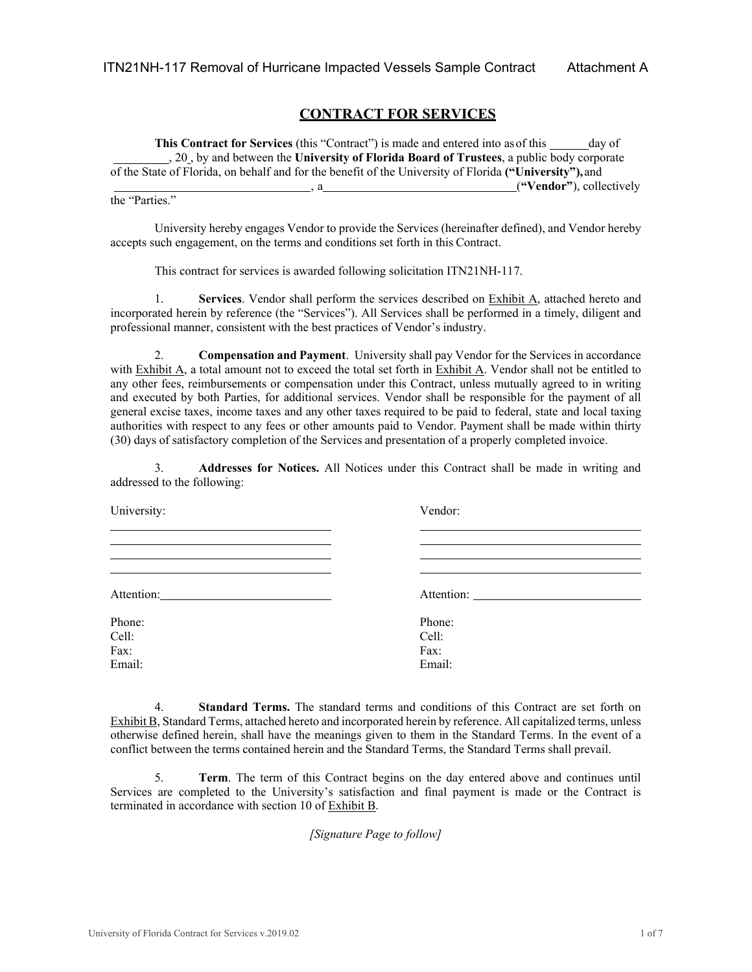## **CONTRACT FOR SERVICES**

**This Contract for Services** (this "Contract") is made and entered into as of this day of , 20 , by and between the **University of Florida Board of Trustees**, a public body corporate of the State of Florida, on behalf and for the benefit of the University of Florida **("University"),** and **EXECUTE:** A **a EXECUTE:** ("Vendor"), collectively

the "Parties."

University hereby engages Vendor to provide the Services (hereinafter defined), and Vendor hereby accepts such engagement, on the terms and conditions set forth in this Contract.

This contract for services is awarded following solicitation ITN21NH-117.

1. **Services**. Vendor shall perform the services described on Exhibit A, attached hereto and incorporated herein by reference (the "Services"). All Services shall be performed in a timely, diligent and professional manner, consistent with the best practices of Vendor's industry.

2. **Compensation and Payment**. University shall pay Vendor for the Services in accordance with Exhibit A, a total amount not to exceed the total set forth in Exhibit A. Vendor shall not be entitled to any other fees, reimbursements or compensation under this Contract, unless mutually agreed to in writing and executed by both Parties, for additional services. Vendor shall be responsible for the payment of all general excise taxes, income taxes and any other taxes required to be paid to federal, state and local taxing authorities with respect to any fees or other amounts paid to Vendor. Payment shall be made within thirty (30) days of satisfactory completion of the Services and presentation of a properly completed invoice.

3. **Addresses for Notices.** All Notices under this Contract shall be made in writing and addressed to the following:

| University: | Vendor:    |  |
|-------------|------------|--|
|             |            |  |
|             |            |  |
| Attention:  | Attention: |  |
| Phone:      | Phone:     |  |
| Cell:       | Cell:      |  |
| Fax:        | Fax:       |  |
| Email:      | Email:     |  |

4. **Standard Terms.** The standard terms and conditions of this Contract are set forth on Exhibit B, Standard Terms, attached hereto and incorporated herein by reference. All capitalized terms, unless otherwise defined herein, shall have the meanings given to them in the Standard Terms. In the event of a conflict between the terms contained herein and the Standard Terms, the Standard Terms shall prevail.

5. **Term**. The term of this Contract begins on the day entered above and continues until Services are completed to the University's satisfaction and final payment is made or the Contract is terminated in accordance with section 10 of Exhibit B.

*[Signature Page to follow]*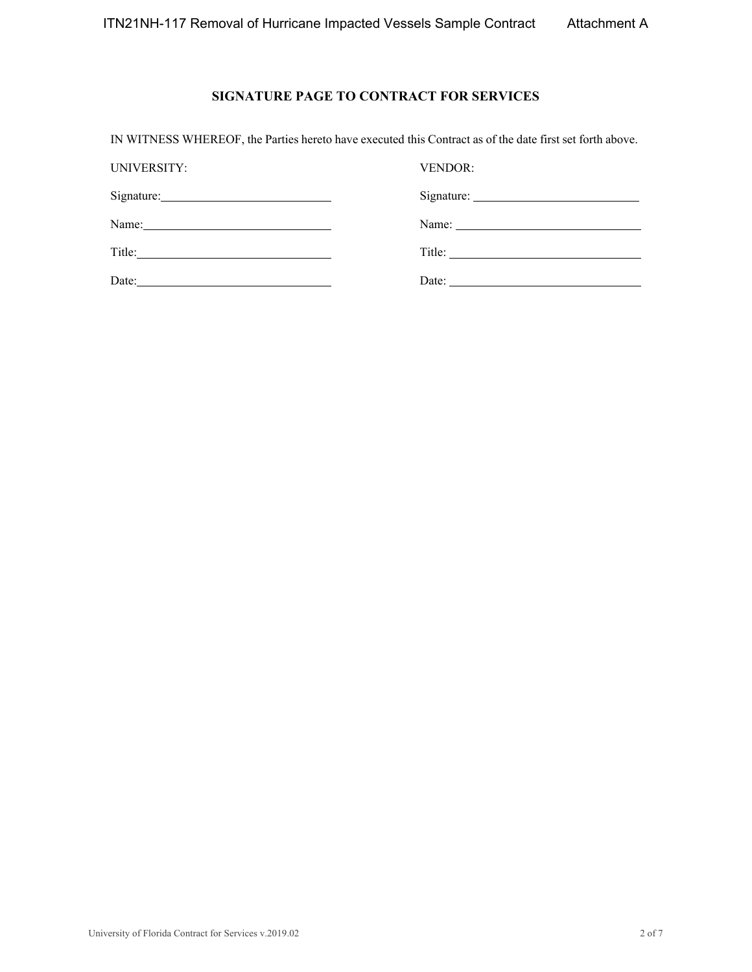## **SIGNATURE PAGE TO CONTRACT FOR SERVICES**

IN WITNESS WHEREOF, the Parties hereto have executed this Contract as of the date first set forth above.

| UNIVERSITY: | <b>VENDOR:</b>                                           |
|-------------|----------------------------------------------------------|
| Signature:  |                                                          |
|             | Name: $\frac{1}{\sqrt{1-\frac{1}{2}} \cdot \frac{1}{2}}$ |
|             |                                                          |
| Date:       | Date:                                                    |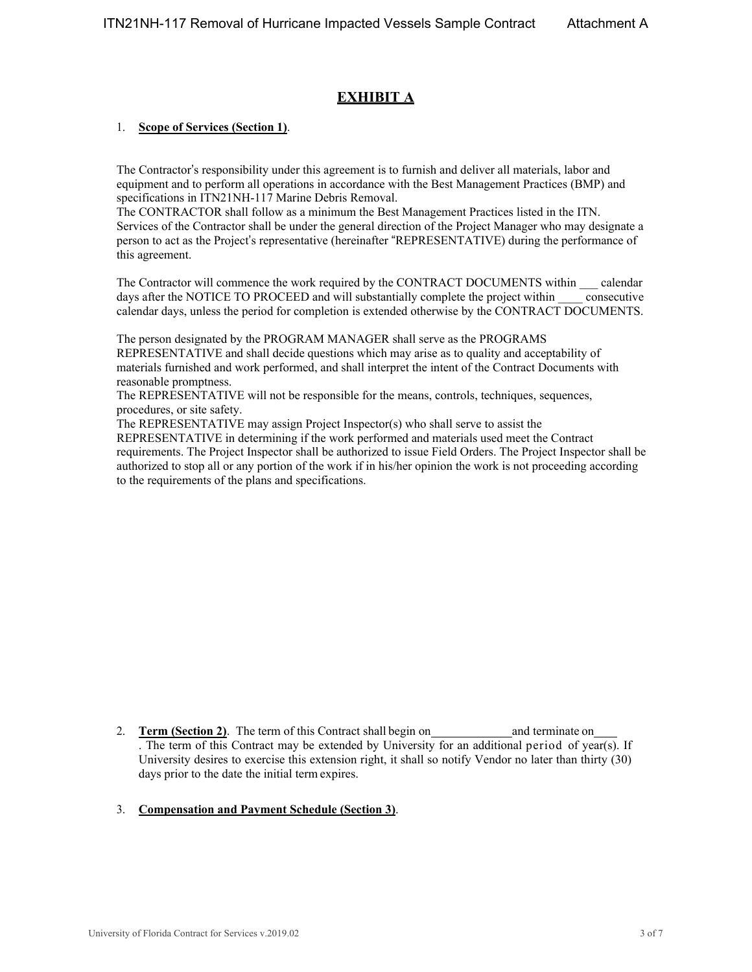# **EXHIBIT A**

### 1. **Scope of Services (Section 1)**.

The Contractor's responsibility under this agreement is to furnish and deliver all materials, labor and equipment and to perform all operations in accordance with the Best Management Practices (BMP) and specifications in ITN21NH-117 Marine Debris Removal.

The CONTRACTOR shall follow as a minimum the Best Management Practices listed in the ITN. Services of the Contractor shall be under the general direction of the Project Manager who may designate a person to act as the Project's representative (hereinafter "REPRESENTATIVE) during the performance of this agreement.

The Contractor will commence the work required by the CONTRACT DOCUMENTS within \_\_\_ calendar days after the NOTICE TO PROCEED and will substantially complete the project within consecutive calendar days, unless the period for completion is extended otherwise by the CONTRACT DOCUMENTS.

The person designated by the PROGRAM MANAGER shall serve as the PROGRAMS REPRESENTATIVE and shall decide questions which may arise as to quality and acceptability of materials furnished and work performed, and shall interpret the intent of the Contract Documents with reasonable promptness.

The REPRESENTATIVE will not be responsible for the means, controls, techniques, sequences, procedures, or site safety.

The REPRESENTATIVE may assign Project Inspector(s) who shall serve to assist the

REPRESENTATIVE in determining if the work performed and materials used meet the Contract requirements. The Project Inspector shall be authorized to issue Field Orders. The Project Inspector shall be authorized to stop all or any portion of the work if in his/her opinion the work is not proceeding according to the requirements of the plans and specifications.

2. **Term (Section 2)**. The term of this Contract shall begin on and terminate on . The term of this Contract may be extended by University for an additional period of year(s). If University desires to exercise this extension right, it shall so notify Vendor no later than thirty (30) days prior to the date the initial term expires.

## 3. **Compensation and Payment Schedule (Section 3)**.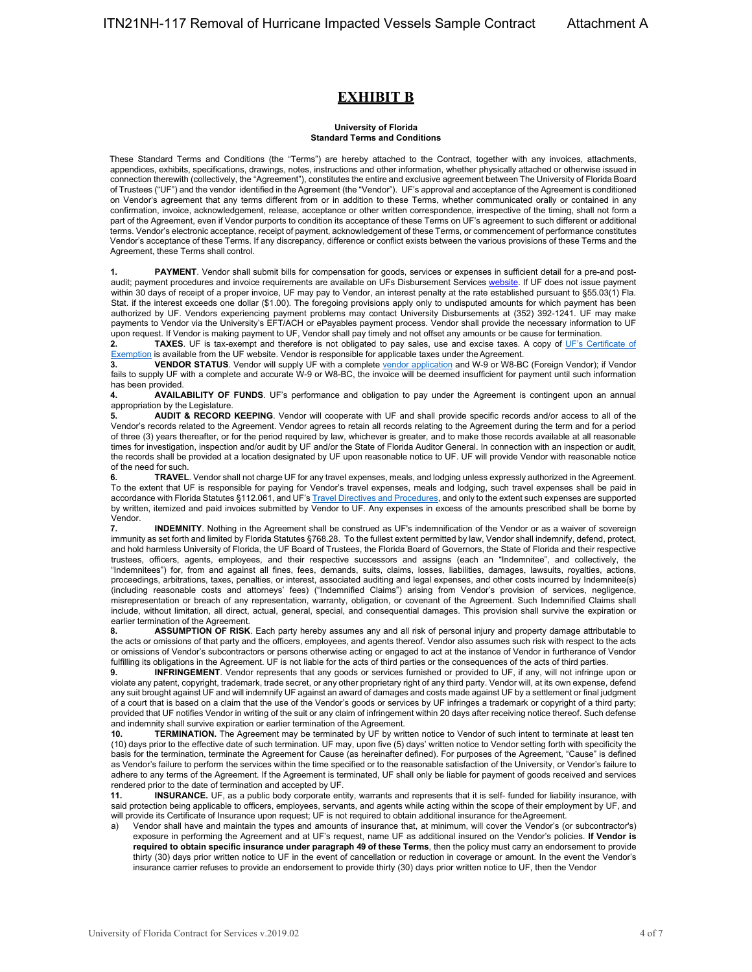### **EXHIBIT B**

#### **University of Florida Standard Terms and Conditions**

These Standard Terms and Conditions (the "Terms") are hereby attached to the Contract, together with any invoices, attachments, appendices, exhibits, specifications, drawings, notes, instructions and other information, whether physically attached or otherwise issued in connection therewith (collectively, the "Agreement"), constitutes the entire and exclusive agreement between The University of Florida Board of Trustees ("UF") and the vendor identified in the Agreement (the "Vendor"). UF's approval and acceptance of the Agreement is conditioned on Vendor's agreement that any terms different from or in addition to these Terms, whether communicated orally or contained in any confirmation, invoice, acknowledgement, release, acceptance or other written correspondence, irrespective of the timing, shall not form a part of the Agreement, even if Vendor purports to condition its acceptance of these Terms on UF's agreement to such different or additional terms. Vendor's electronic acceptance, receipt of payment, acknowledgement of these Terms, or commencement of performance constitutes Vendor's acceptance of these Terms. If any discrepancy, difference or conflict exists between the various provisions of these Terms and the Agreement, these Terms shall control.

**1. PAYMENT**. Vendor shall submit bills for compensation for goods, services or expenses in sufficient detail for a pre-and postaudit; payment procedures and invoice requirements are available on UFs Disbursement Services website. If UF does not issue payment within 30 days of receipt of a proper invoice, UF may pay to Vendor, an interest penalty at the rate established pursuant to §55.03(1) Fla. Stat. if the interest exceeds one dollar (\$1.00). The foregoing provisions apply only to undisputed amounts for which payment has been authorized by UF. Vendors experiencing payment problems may contact University Disbursements at (352) 392-1241. UF may make payments to Vendor via the University's EFT/ACH or ePayables payment process. Vendor shall provide the necessary information to UF upon request. If Vendor is making payment to UF, Vendor shall pay timely and not offset any amounts or be cause for termination.

**2. TAXES**. UF is tax-exempt and therefore is not obligated to pay sales, use and excise taxes. A copy of UF's Certificate of Exemption is available from the UF website. Vendor is responsible for applicable taxes under the Agreement.

**3. VENDOR STATUS**. Vendor will supply UF with a complete *vendor application* and W-9 or W8-BC (Foreign Vendor); if Vendor fails to supply UF with a complete and accurate W-9 or W8-BC, the invoice will be deemed insufficient for payment until such information has been provided.

**4. AVAILABILITY OF FUNDS**. UF's performance and obligation to pay under the Agreement is contingent upon an annual appropriation by the Legislature.

**5.** AUDIT & RECORD KEEPING. Vendor will cooperate with UF and shall provide specific records and/or access to all of the Vendor's records related to the Agreement. Vendor agrees to retain all records relating to the Agreement during the term and for a period of three (3) years thereafter, or for the period required by law, whichever is greater, and to make those records available at all reasonable times for investigation, inspection and/or audit by UF and/or the State of Florida Auditor General. In connection with an inspection or audit, the records shall be provided at a location designated by UF upon reasonable notice to UF. UF will provide Vendor with reasonable notice of the need for such.

**6.** TRAVEL. Vendor shall not charge UF for any travel expenses, meals, and lodging unless expressly authorized in the Agreement. To the extent that UF is responsible for paying for Vendor's travel expenses, meals and lodging, such travel expenses shall be paid in accordance with Florida Statutes §112.061, and UF's Travel Directives and Procedures, and only to the extent such expenses are supported by written, itemized and paid invoices submitted by Vendor to UF. Any expenses in excess of the amounts prescribed shall be borne by Vendor.

**7. INDEMNITY**. Nothing in the Agreement shall be construed as UF's indemnification of the Vendor or as a waiver of sovereign immunity as set forth and limited by Florida Statutes §768.28. To the fullest extent permitted by law, Vendor shall indemnify, defend, protect, and hold harmless University of Florida, the UF Board of Trustees, the Florida Board of Governors, the State of Florida and their respective trustees, officers, agents, employees, and their respective successors and assigns (each an "Indemnitee", and collectively, the "Indemnitees") for, from and against all fines, fees, demands, suits, claims, losses, liabilities, damages, lawsuits, royalties, actions, proceedings, arbitrations, taxes, penalties, or interest, associated auditing and legal expenses, and other costs incurred by Indemnitee(s) (including reasonable costs and attorneys' fees) ("Indemnified Claims") arising from Vendor's provision of services, negligence, misrepresentation or breach of any representation, warranty, obligation, or covenant of the Agreement. Such Indemnified Claims shall include, without limitation, all direct, actual, general, special, and consequential damages. This provision shall survive the expiration or earlier termination of the Agreement.

**8. ASSUMPTION OF RISK**. Each party hereby assumes any and all risk of personal injury and property damage attributable to the acts or omissions of that party and the officers, employees, and agents thereof. Vendor also assumes such risk with respect to the acts or omissions of Vendor's subcontractors or persons otherwise acting or engaged to act at the instance of Vendor in furtherance of Vendor fulfilling its obligations in the Agreement. UF is not liable for the acts of third parties or the consequences of the acts of third parties.

**9. INFRINGEMENT**. Vendor represents that any goods or services furnished or provided to UF, if any, will not infringe upon or violate any patent, copyright, trademark, trade secret, or any other proprietary right of any third party. Vendor will, at its own expense, defend any suit brought against UF and will indemnify UF against an award of damages and costs made against UF by a settlement or final judgment of a court that is based on a claim that the use of the Vendor's goods or services by UF infringes a trademark or copyright of a third party; provided that UF notifies Vendor in writing of the suit or any claim of infringement within 20 days after receiving notice thereof. Such defense and indemnity shall survive expiration or earlier termination of the Agreement.<br>10 **TERMINATION** The Agreement may be terminated by UE by writ

**10. TERMINATION.** The Agreement may be terminated by UF by written notice to Vendor of such intent to terminate at least ten (10) days prior to the effective date of such termination. UF may, upon five (5) days' written notice to Vendor setting forth with specificity the basis for the termination, terminate the Agreement for Cause (as hereinafter defined). For purposes of the Agreement, "Cause" is defined as Vendor's failure to perform the services within the time specified or to the reasonable satisfaction of the University, or Vendor's failure to adhere to any terms of the Agreement. If the Agreement is terminated, UF shall only be liable for payment of goods received and services rendered prior to the date of termination and accepted by UF.

**11. INSURANCE.** UF, as a public body corporate entity, warrants and represents that it is self- funded for liability insurance, with said protection being applicable to officers, employees, servants, and agents while acting within the scope of their employment by UF, and will provide its Certificate of Insurance upon request; UF is not required to obtain additional insurance for the Agreement.

a) Vendor shall have and maintain the types and amounts of insurance that, at minimum, will cover the Vendor's (or subcontractor's) exposure in performing the Agreement and at UF's request, name UF as additional insured on the Vendor's policies. **If Vendor is required to obtain specific insurance under paragraph 49 of these Terms**, then the policy must carry an endorsement to provide thirty (30) days prior written notice to UF in the event of cancellation or reduction in coverage or amount. In the event the Vendor's insurance carrier refuses to provide an endorsement to provide thirty (30) days prior written notice to UF, then the Vendor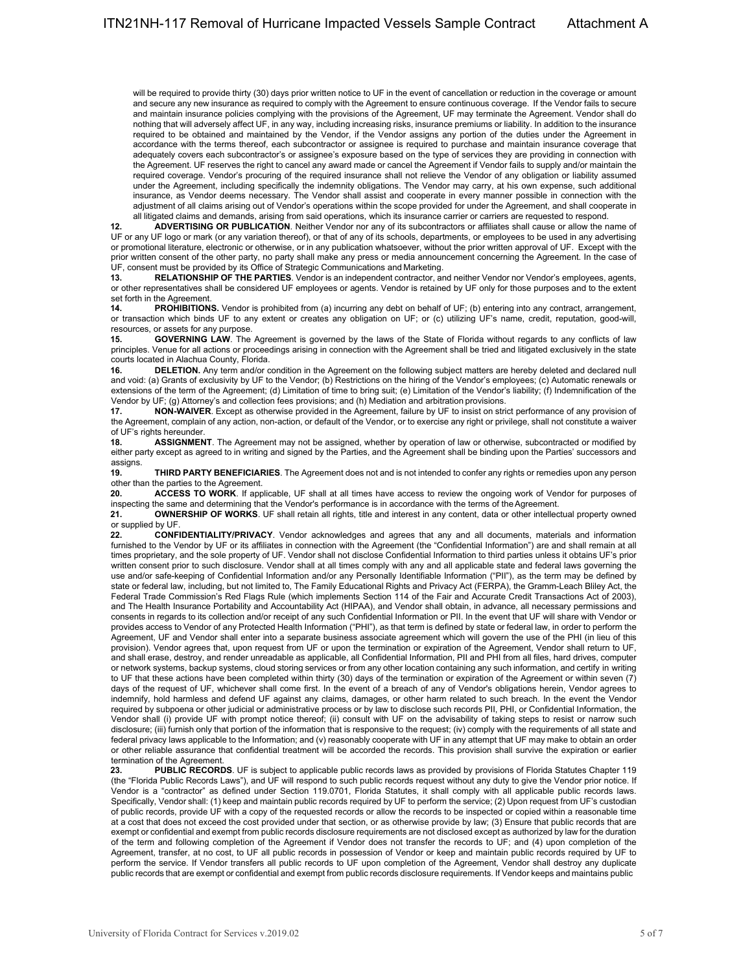will be required to provide thirty (30) days prior written notice to UF in the event of cancellation or reduction in the coverage or amount and secure any new insurance as required to comply with the Agreement to ensure continuous coverage. If the Vendor fails to secure and maintain insurance policies complying with the provisions of the Agreement, UF may terminate the Agreement. Vendor shall do nothing that will adversely affect UF, in any way, including increasing risks, insurance premiums or liability. In addition to the insurance required to be obtained and maintained by the Vendor, if the Vendor assigns any portion of the duties under the Agreement in accordance with the terms thereof, each subcontractor or assignee is required to purchase and maintain insurance coverage that adequately covers each subcontractor's or assignee's exposure based on the type of services they are providing in connection with the Agreement. UF reserves the right to cancel any award made or cancel the Agreement if Vendor fails to supply and/or maintain the required coverage. Vendor's procuring of the required insurance shall not relieve the Vendor of any obligation or liability assumed under the Agreement, including specifically the indemnity obligations. The Vendor may carry, at his own expense, such additional insurance, as Vendor deems necessary. The Vendor shall assist and cooperate in every manner possible in connection with the adjustment of all claims arising out of Vendor's operations within the scope provided for under the Agreement, and shall cooperate in all litigated claims and demands, arising from said operations, which its insurance carrier or carriers are requested to respond.

**12. ADVERTISING OR PUBLICATION**. Neither Vendor nor any of its subcontractors or affiliates shall cause or allow the name of UF or any UF logo or mark (or any variation thereof), or that of any of its schools, departments, or employees to be used in any advertising or promotional literature, electronic or otherwise, or in any publication whatsoever, without the prior written approval of UF. Except with the prior written consent of the other party, no party shall make any press or media announcement concerning the Agreement. In the case of UF, consent must be provided by its Office of Strategic Communications and Marketing.

**13. RELATIONSHIP OF THE PARTIES**. Vendor is an independent contractor, and neither Vendor nor Vendor's employees, agents, or other representatives shall be considered UF employees or agents. Vendor is retained by UF only for those purposes and to the extent set forth in the Agreement.

**14. PROHIBITIONS.** Vendor is prohibited from (a) incurring any debt on behalf of UF; (b) entering into any contract, arrangement, or transaction which binds UF to any extent or creates any obligation on UF; or (c) utilizing UF's name, credit, reputation, good-will, resources, or assets for any purpose.

**15. GOVERNING LAW**. The Agreement is governed by the laws of the State of Florida without regards to any conflicts of law principles. Venue for all actions or proceedings arising in connection with the Agreement shall be tried and litigated exclusively in the state courts located in Alachua County, Florida.

**16. DELETION.** Any term and/or condition in the Agreement on the following subject matters are hereby deleted and declared null and void: (a) Grants of exclusivity by UF to the Vendor; (b) Restrictions on the hiring of the Vendor's employees; (c) Automatic renewals or extensions of the term of the Agreement; (d) Limitation of time to bring suit; (e) Limitation of the Vendor's liability; (f) Indemnification of the Vendor by UF; (g) Attorney's and collection fees provisions; and (h) Mediation and arbitration provisions.

**17.** NON-WAIVER. Except as otherwise provided in the Agreement, failure by UF to insist on strict performance of any provision of the Agreement, complain of any action, non-action, or default of the Vendor, or to exercise any right or privilege, shall not constitute a waiver of UF's rights hereunder.

**18. ASSIGNMENT**. The Agreement may not be assigned, whether by operation of law or otherwise, subcontracted or modified by either party except as agreed to in writing and signed by the Parties, and the Agreement shall be binding upon the Parties' successors and assigns.

**19. THIRD PARTY BENEFICIARIES**. The Agreement does not and is not intended to confer any rights or remedies upon any person other than the parties to the Agreement.

**20. ACCESS TO WORK**. If applicable, UF shall at all times have access to review the ongoing work of Vendor for purposes of inspecting the same and determining that the Vendor's performance is in accordance with the terms of the Agreement.

**21. OWNERSHIP OF WORKS**. UF shall retain all rights, title and interest in any content, data or other intellectual property owned or supplied by UF

**22. CONFIDENTIALITY/PRIVACY**. Vendor acknowledges and agrees that any and all documents, materials and information furnished to the Vendor by UF or its affiliates in connection with the Agreement (the "Confidential Information") are and shall remain at all times proprietary, and the sole property of UF. Vendor shall not disclose Confidential Information to third parties unless it obtains UF's prior written consent prior to such disclosure. Vendor shall at all times comply with any and all applicable state and federal laws governing the use and/or safe-keeping of Confidential Information and/or any Personally Identifiable Information ("PII"), as the term may be defined by state or federal law, including, but not limited to, The Family Educational Rights and Privacy Act (FERPA), the Gramm-Leach Bliley Act, the Federal Trade Commission's Red Flags Rule (which implements Section 114 of the Fair and Accurate Credit Transactions Act of 2003), and The Health Insurance Portability and Accountability Act (HIPAA), and Vendor shall obtain, in advance, all necessary permissions and consents in regards to its collection and/or receipt of any such Confidential Information or PII. In the event that UF will share with Vendor or provides access to Vendor of any Protected Health Information ("PHI"), as that term is defined by state or federal law, in order to perform the Agreement, UF and Vendor shall enter into a separate business associate agreement which will govern the use of the PHI (in lieu of this provision). Vendor agrees that, upon request from UF or upon the termination or expiration of the Agreement, Vendor shall return to UF, and shall erase, destroy, and render unreadable as applicable, all Confidential Information, PII and PHI from all files, hard drives, computer or network systems, backup systems, cloud storing services or from any other location containing any such information, and certify in writing to UF that these actions have been completed within thirty (30) days of the termination or expiration of the Agreement or within seven (7) days of the request of UF, whichever shall come first. In the event of a breach of any of Vendor's obligations herein, Vendor agrees to indemnify, hold harmless and defend UF against any claims, damages, or other harm related to such breach. In the event the Vendor required by subpoena or other judicial or administrative process or by law to disclose such records PII, PHI, or Confidential Information, the Vendor shall (i) provide UF with prompt notice thereof; (ii) consult with UF on the advisability of taking steps to resist or narrow such disclosure; (iii) furnish only that portion of the information that is responsive to the request; (iv) comply with the requirements of all state and federal privacy laws applicable to the Information; and (v) reasonably cooperate with UF in any attempt that UF may make to obtain an order or other reliable assurance that confidential treatment will be accorded the records. This provision shall survive the expiration or earlier termination of the Agreement.

23. PUBLIC RECORDS. UF is subject to applicable public records laws as provided by provisions of Florida Statutes Chapter 119 (the "Florida Public Records Laws"), and UF will respond to such public records request without any duty to give the Vendor prior notice. If Vendor is a "contractor" as defined under Section 119.0701, Florida Statutes, it shall comply with all applicable public records laws. Specifically, Vendor shall: (1) keep and maintain public records required by UF to perform the service; (2) Upon request from UF's custodian of public records, provide UF with a copy of the requested records or allow the records to be inspected or copied within a reasonable time at a cost that does not exceed the cost provided under that section, or as otherwise provide by law; (3) Ensure that public records that are exempt or confidential and exempt from public records disclosure requirements are not disclosed except as authorized by law for the duration of the term and following completion of the Agreement if Vendor does not transfer the records to UF; and (4) upon completion of the Agreement, transfer, at no cost, to UF all public records in possession of Vendor or keep and maintain public records required by UF to perform the service. If Vendor transfers all public records to UF upon completion of the Agreement, Vendor shall destroy any duplicate public records that are exempt or confidential and exempt from public records disclosure requirements. If Vendor keeps and maintains public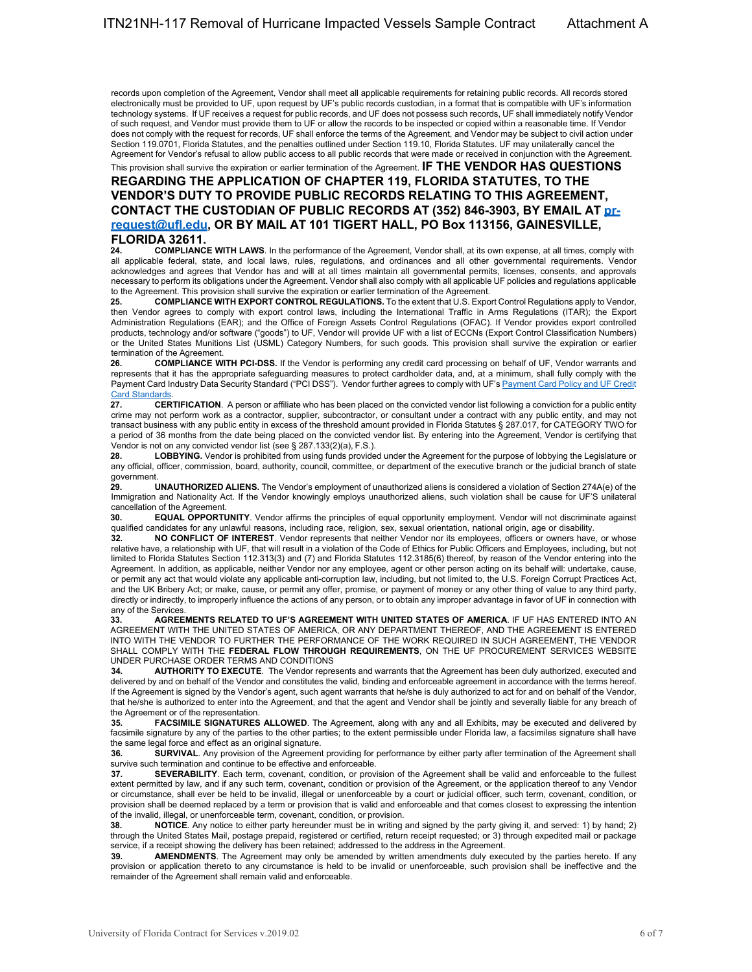records upon completion of the Agreement, Vendor shall meet all applicable requirements for retaining public records. All records stored electronically must be provided to UF, upon request by UF's public records custodian, in a format that is compatible with UF's information technology systems. If UF receives a request for public records, and UF does not possess such records, UF shall immediately notify Vendor of such request, and Vendor must provide them to UF or allow the records to be inspected or copied within a reasonable time. If Vendor does not comply with the request for records, UF shall enforce the terms of the Agreement, and Vendor may be subject to civil action under Section 119.0701, Florida Statutes, and the penalties outlined under Section 119.10, Florida Statutes. UF may unilaterally cancel the Agreement for Vendor's refusal to allow public access to all public records that were made or received in conjunction with the Agreement.

#### This provision shall survive the expiration or earlier termination of the Agreement. **IF THE VENDOR HAS QUESTIONS REGARDING THE APPLICATION OF CHAPTER 119, FLORIDA STATUTES, TO THE VENDOR'S DUTY TO PROVIDE PUBLIC RECORDS RELATING TO THIS AGREEMENT, CONTACT THE CUSTODIAN OF PUBLIC RECORDS AT (352) 846-3903, BY EMAIL AT prrequest@ufl.edu, OR BY MAIL AT 101 TIGERT HALL, PO Box 113156, GAINESVILLE, FLORIDA 32611.**

**24. COMPLIANCE WITH LAWS**. In the performance of the Agreement, Vendor shall, at its own expense, at all times, comply with all applicable federal, state, and local laws, rules, regulations, and ordinances and all other governmental requirements. Vendor acknowledges and agrees that Vendor has and will at all times maintain all governmental permits, licenses, consents, and approvals necessary to perform its obligations under the Agreement. Vendor shall also comply with all applicable UF policies and regulations applicable to the Agreement. This provision shall survive the expiration or earlier termination of the Agreement.

25. COMPLIANCE WITH EXPORT CONTROL REGULATIONS. To the extent that U.S. Export Control Regulations apply to Vendor, then Vendor agrees to comply with export control laws, including the International Traffic in Arms Regulations (ITAR); the Export Administration Regulations (EAR); and the Office of Foreign Assets Control Regulations (OFAC). If Vendor provides export controlled products, technology and/or software ("goods") to UF, Vendor will provide UF with a list of ECCNs (Export Control Classification Numbers) or the United States Munitions List (USML) Category Numbers, for such goods. This provision shall survive the expiration or earlier termination of the Agreement.<br>
26 COMPLIANCE WI

**26. COMPLIANCE WITH PCI-DSS.** If the Vendor is performing any credit card processing on behalf of UF, Vendor warrants and represents that it has the appropriate safeguarding measures to protect cardholder data, and, at a minimum, shall fully comply with the Payment Card Industry Data Security Standard ("PCI DSS"). Vendor further agrees to comply with UF's Payment Card Policy and UF Credit

Card Standard<br>27. **27. CERTIFICATION**. A person or affiliate who has been placed on the convicted vendor list following a conviction for a public entity crime may not perform work as a contractor, supplier, subcontractor, or consultant under a contract with any public entity, and may not transact business with any public entity in excess of the threshold amount provided in Florida Statutes § 287.017, for CATEGORY TWO for a period of 36 months from the date being placed on the convicted vendor list. By entering into the Agreement, Vendor is certifying that Vendor is not on any convicted vendor list (see § 287.133(2)(a), F.S.).

**28. LOBBYING.** Vendor is prohibited from using funds provided under the Agreement for the purpose of lobbying the Legislature or any official, officer, commission, board, authority, council, committee, or department of the executive branch or the judicial branch of state government.<br>29.

**29. UNAUTHORIZED ALIENS.** The Vendor's employment of unauthorized aliens is considered a violation of Section 274A(e) of the Immigration and Nationality Act. If the Vendor knowingly employs unauthorized aliens, such violation shall be cause for UF'S unilateral cancellation of the Agreement.

**30. EQUAL OPPORTUNITY**. Vendor affirms the principles of equal opportunity employment. Vendor will not discriminate against qualified candidates for any unlawful reasons, including race, religion, sex, sexual orientation, national origin, age or disability.

**32. NO CONFLICT OF INTEREST**. Vendor represents that neither Vendor nor its employees, officers or owners have, or whose relative have, a relationship with UF, that will result in a violation of the Code of Ethics for Public Officers and Employees, including, but not limited to Florida Statutes Section 112.313(3) and (7) and Florida Statutes 112.3185(6) thereof, by reason of the Vendor entering into the Agreement. In addition, as applicable, neither Vendor nor any employee, agent or other person acting on its behalf will: undertake, cause, or permit any act that would violate any applicable anti-corruption law, including, but not limited to, the U.S. Foreign Corrupt Practices Act, and the UK Bribery Act; or make, cause, or permit any offer, promise, or payment of money or any other thing of value to any third party, directly or indirectly, to improperly influence the actions of any person, or to obtain any improper advantage in favor of UF in connection with any of the Services.

**33. AGREEMENTS RELATED TO UF'S AGREEMENT WITH UNITED STATES OF AMERICA**. IF UF HAS ENTERED INTO AN AGREEMENT WITH THE UNITED STATES OF AMERICA, OR ANY DEPARTMENT THEREOF, AND THE AGREEMENT IS ENTERED INTO WITH THE VENDOR TO FURTHER THE PERFORMANCE OF THE WORK REQUIRED IN SUCH AGREEMENT, THE VENDOR SHALL COMPLY WITH THE **FEDERAL FLOW THROUGH REQUIREMENTS**, ON THE UF PROCUREMENT SERVICES WEBSITE UNDER PURCHASE ORDER TERMS AND CONDITIONS

**34. AUTHORITY TO EXECUTE**. The Vendor represents and warrants that the Agreement has been duly authorized, executed and delivered by and on behalf of the Vendor and constitutes the valid, binding and enforceable agreement in accordance with the terms hereof. If the Agreement is signed by the Vendor's agent, such agent warrants that he/she is duly authorized to act for and on behalf of the Vendor, that he/she is authorized to enter into the Agreement, and that the agent and Vendor shall be jointly and severally liable for any breach of the Agreement or of the representation.<br>35. **FACSIMILE SIGNATURES** 

**FACSIMILE SIGNATURES ALLOWED**. The Agreement, along with any and all Exhibits, may be executed and delivered by facsimile signature by any of the parties to the other parties; to the extent permissible under Florida law, a facsimiles signature shall have the same legal force and effect as an original signature.

**36. SURVIVAL**. Any provision of the Agreement providing for performance by either party after termination of the Agreement shall survive such termination and continue to be effective and enforceable.

**37. SEVERABILITY**. Each term, covenant, condition, or provision of the Agreement shall be valid and enforceable to the fullest extent permitted by law, and if any such term, covenant, condition or provision of the Agreement, or the application thereof to any Vendor or circumstance, shall ever be held to be invalid, illegal or unenforceable by a court or judicial officer, such term, covenant, condition, or provision shall be deemed replaced by a term or provision that is valid and enforceable and that comes closest to expressing the intention of the invalid, illegal, or unenforceable term, covenant, condition, or provision.

**38. NOTICE**. Any notice to either party hereunder must be in writing and signed by the party giving it, and served: 1) by hand; 2) through the United States Mail, postage prepaid, registered or certified, return receipt requested; or 3) through expedited mail or package service, if a receipt showing the delivery has been retained; addressed to the address in the Agreement.

**39. AMENDMENTS**. The Agreement may only be amended by written amendments duly executed by the parties hereto. If any provision or application thereto to any circumstance is held to be invalid or unenforceable, such provision shall be ineffective and the remainder of the Agreement shall remain valid and enforceable.